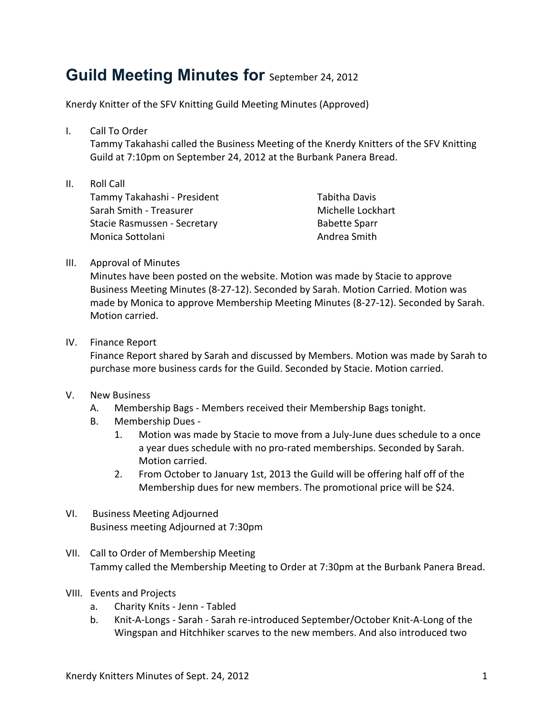## **Guild Meeting Minutes for September 24, 2012**

Knerdy Knitter of the SFV Knitting Guild Meeting Minutes (Approved)

I. Call To Order

Tammy Takahashi called the Business Meeting of the Knerdy Knitters of the SFV Knitting Guild at 7:10pm on September 24, 2012 at the Burbank Panera Bread.

II. Roll Call Tammy Takahashi - President Sarah Smith - Treasurer Stacie Rasmussen - Secretary Monica Sottolani

Tabitha Davis Michelle Lockhart **Babette Sparr** Andrea Smith

## III. Approval of Minutes

Minutes have been posted on the website. Motion was made by Stacie to approve Business Meeting Minutes (8-27-12). Seconded by Sarah. Motion Carried. Motion was made by Monica to approve Membership Meeting Minutes (8-27-12). Seconded by Sarah. Motion carried.

## IV. Finance Report

Finance Report shared by Sarah and discussed by Members. Motion was made by Sarah to purchase more business cards for the Guild. Seconded by Stacie. Motion carried.

## V. New Business

- A. Membership Bags Members received their Membership Bags tonight.
- B. Membership Dues -
	- 1. Motion was made by Stacie to move from a July-June dues schedule to a once a year dues schedule with no pro-rated memberships. Seconded by Sarah. Motion carried.
	- 2. From October to January 1st, 2013 the Guild will be offering half off of the Membership dues for new members. The promotional price will be \$24.
- VI. Business Meeting Adjourned Business meeting Adjourned at 7:30pm
- VII. Call to Order of Membership Meeting Tammy called the Membership Meeting to Order at 7:30pm at the Burbank Panera Bread.
- VIII. Events and Projects
	- a. Charity Knits Jenn Tabled
	- b. Knit-A-Longs Sarah Sarah re-introduced September/October Knit-A-Long of the Wingspan and Hitchhiker scarves to the new members. And also introduced two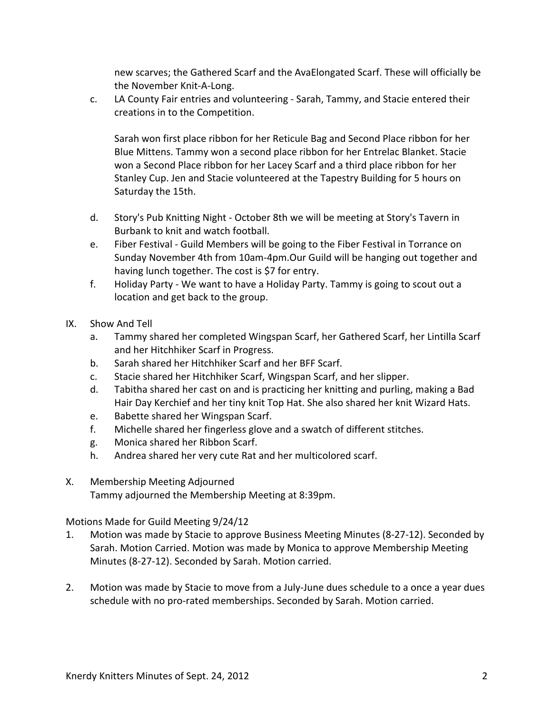new scarves; the Gathered Scarf and the AvaElongated Scarf. These will officially be the November Knit-A-Long.

c. LA County Fair entries and volunteering - Sarah, Tammy, and Stacie entered their creations in to the Competition.

Sarah won first place ribbon for her Reticule Bag and Second Place ribbon for her Blue Mittens. Tammy won a second place ribbon for her Entrelac Blanket. Stacie won a Second Place ribbon for her Lacey Scarf and a third place ribbon for her Stanley Cup. Jen and Stacie volunteered at the Tapestry Building for 5 hours on Saturday the 15th.

- d. Story's Pub Knitting Night October 8th we will be meeting at Story's Tavern in Burbank to knit and watch football.
- e. Fiber Festival Guild Members will be going to the Fiber Festival in Torrance on Sunday November 4th from 10am-4pm.Our Guild will be hanging out together and having lunch together. The cost is \$7 for entry.
- f. Holiday Party We want to have a Holiday Party. Tammy is going to scout out a location and get back to the group.
- IX. Show And Tell
	- a. Tammy shared her completed Wingspan Scarf, her Gathered Scarf, her Lintilla Scarf and her Hitchhiker Scarf in Progress.
	- b. Sarah shared her Hitchhiker Scarf and her BFF Scarf.
	- c. Stacie shared her Hitchhiker Scarf, Wingspan Scarf, and her slipper.
	- d. Tabitha shared her cast on and is practicing her knitting and purling, making a Bad Hair Day Kerchief and her tiny knit Top Hat. She also shared her knit Wizard Hats.
	- e. Babette shared her Wingspan Scarf.
	- f. Michelle shared her fingerless glove and a swatch of different stitches.
	- g. Monica shared her Ribbon Scarf.
	- h. Andrea shared her very cute Rat and her multicolored scarf.
- X. Membership Meeting Adjourned Tammy adjourned the Membership Meeting at 8:39pm.

Motions Made for Guild Meeting 9/24/12

- 1. Motion was made by Stacie to approve Business Meeting Minutes (8-27-12). Seconded by Sarah. Motion Carried. Motion was made by Monica to approve Membership Meeting Minutes (8-27-12). Seconded by Sarah. Motion carried.
- 2. Motion was made by Stacie to move from a July-June dues schedule to a once a year dues schedule with no pro-rated memberships. Seconded by Sarah. Motion carried.